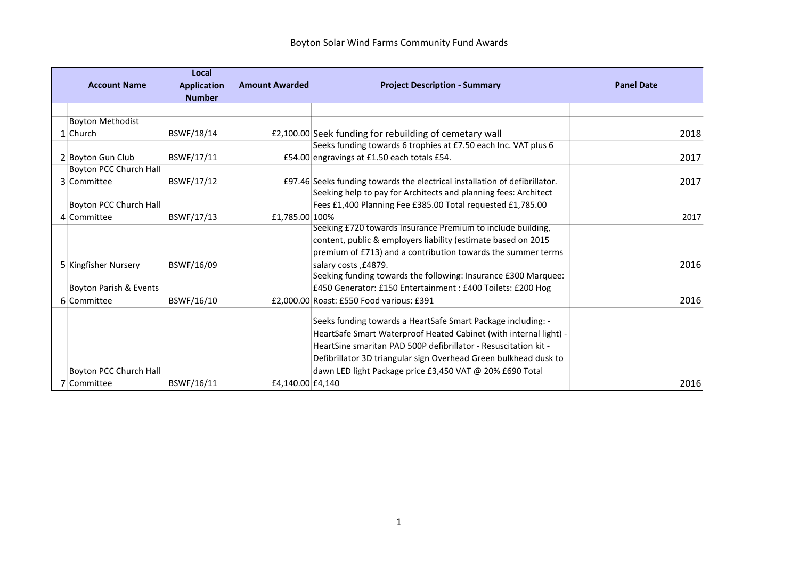|                         | Local              |                       |                                                                            |                   |
|-------------------------|--------------------|-----------------------|----------------------------------------------------------------------------|-------------------|
| <b>Account Name</b>     | <b>Application</b> | <b>Amount Awarded</b> | <b>Project Description - Summary</b>                                       | <b>Panel Date</b> |
|                         | <b>Number</b>      |                       |                                                                            |                   |
|                         |                    |                       |                                                                            |                   |
| <b>Boyton Methodist</b> |                    |                       |                                                                            |                   |
| $1$ Church              | BSWF/18/14         |                       | £2,100.00 Seek funding for rebuilding of cemetary wall                     | 2018              |
|                         |                    |                       | Seeks funding towards 6 trophies at £7.50 each Inc. VAT plus 6             |                   |
| 2 Boyton Gun Club       | BSWF/17/11         |                       | £54.00 engravings at £1.50 each totals £54.                                | 2017              |
| Boyton PCC Church Hall  |                    |                       |                                                                            |                   |
| 3 Committee             | BSWF/17/12         |                       | £97.46 Seeks funding towards the electrical installation of defibrillator. | 2017              |
|                         |                    |                       | Seeking help to pay for Architects and planning fees: Architect            |                   |
| Boyton PCC Church Hall  |                    |                       | Fees £1,400 Planning Fee £385.00 Total requested £1,785.00                 |                   |
| 4 Committee             | BSWF/17/13         | £1,785.00 100%        |                                                                            | 2017              |
|                         |                    |                       | Seeking £720 towards Insurance Premium to include building,                |                   |
|                         |                    |                       | content, public & employers liability (estimate based on 2015              |                   |
|                         |                    |                       | premium of £713) and a contribution towards the summer terms               |                   |
| 5 Kingfisher Nursery    | BSWF/16/09         |                       | salary costs, £4879.                                                       | 2016              |
|                         |                    |                       | Seeking funding towards the following: Insurance £300 Marquee:             |                   |
| Boyton Parish & Events  |                    |                       | £450 Generator: £150 Entertainment : £400 Toilets: £200 Hog                |                   |
| 6 Committee             | BSWF/16/10         |                       | £2,000.00 Roast: £550 Food various: £391                                   | 2016              |
|                         |                    |                       |                                                                            |                   |
|                         |                    |                       | Seeks funding towards a HeartSafe Smart Package including: -               |                   |
|                         |                    |                       | HeartSafe Smart Waterproof Heated Cabinet (with internal light) -          |                   |
|                         |                    |                       | HeartSine smaritan PAD 500P defibrillator - Resuscitation kit -            |                   |
|                         |                    |                       | Defibrillator 3D triangular sign Overhead Green bulkhead dusk to           |                   |
| Boyton PCC Church Hall  |                    |                       | dawn LED light Package price £3,450 VAT @ 20% £690 Total                   |                   |
| 7 Committee             | BSWF/16/11         | £4,140.00 £4,140      |                                                                            | 2016              |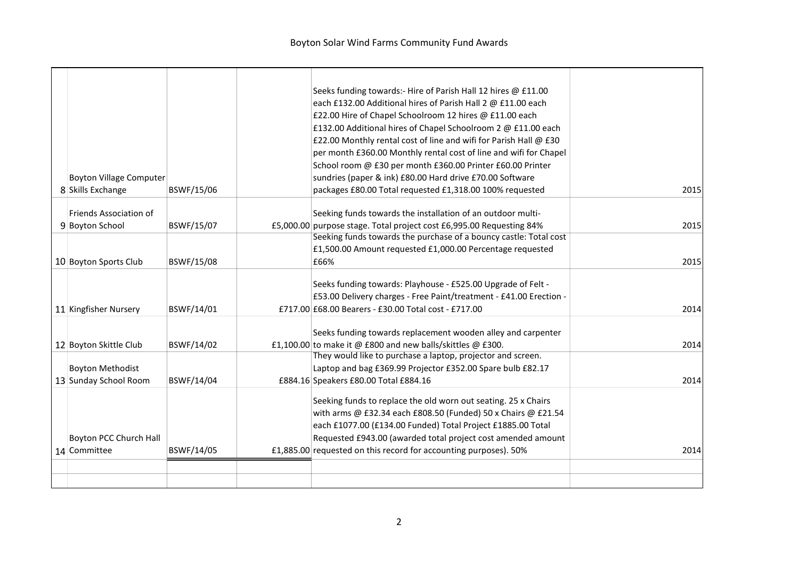|  |                                |            | Seeks funding towards:- Hire of Parish Hall 12 hires @ £11.00        |      |
|--|--------------------------------|------------|----------------------------------------------------------------------|------|
|  |                                |            | each £132.00 Additional hires of Parish Hall 2 @ £11.00 each         |      |
|  |                                |            | £22.00 Hire of Chapel Schoolroom 12 hires @ £11.00 each              |      |
|  |                                |            | £132.00 Additional hires of Chapel Schoolroom 2 @ £11.00 each        |      |
|  |                                |            | £22.00 Monthly rental cost of line and wifi for Parish Hall @ £30    |      |
|  |                                |            | per month £360.00 Monthly rental cost of line and wifi for Chapel    |      |
|  |                                |            | School room @ £30 per month £360.00 Printer £60.00 Printer           |      |
|  | <b>Boyton Village Computer</b> |            | sundries (paper & ink) £80.00 Hard drive £70.00 Software             |      |
|  | 8 Skills Exchange              | BSWF/15/06 | packages £80.00 Total requested £1,318.00 100% requested             | 2015 |
|  | Friends Association of         |            | Seeking funds towards the installation of an outdoor multi-          |      |
|  | 9 Boyton School                | BSWF/15/07 | £5,000.00 purpose stage. Total project cost £6,995.00 Requesting 84% | 2015 |
|  |                                |            | Seeking funds towards the purchase of a bouncy castle: Total cost    |      |
|  |                                |            | £1,500.00 Amount requested £1,000.00 Percentage requested            |      |
|  | 10 Boyton Sports Club          | BSWF/15/08 | £66%                                                                 | 2015 |
|  |                                |            |                                                                      |      |
|  |                                |            | Seeks funding towards: Playhouse - £525.00 Upgrade of Felt -         |      |
|  |                                |            | £53.00 Delivery charges - Free Paint/treatment - £41.00 Erection -   |      |
|  | 11 Kingfisher Nursery          | BSWF/14/01 | £717.00 £68.00 Bearers - £30.00 Total cost - £717.00                 | 2014 |
|  |                                |            | Seeks funding towards replacement wooden alley and carpenter         |      |
|  | 12 Boyton Skittle Club         | BSWF/14/02 | £1,100.00 to make it @ £800 and new balls/skittles @ £300.           | 2014 |
|  |                                |            | They would like to purchase a laptop, projector and screen.          |      |
|  | <b>Boyton Methodist</b>        |            | Laptop and bag £369.99 Projector £352.00 Spare bulb £82.17           |      |
|  | 13 Sunday School Room          | BSWF/14/04 | £884.16 Speakers £80.00 Total £884.16                                | 2014 |
|  |                                |            |                                                                      |      |
|  |                                |            | Seeking funds to replace the old worn out seating. 25 x Chairs       |      |
|  |                                |            | with arms @ £32.34 each £808.50 (Funded) 50 x Chairs @ £21.54        |      |
|  |                                |            | each £1077.00 (£134.00 Funded) Total Project £1885.00 Total          |      |
|  | Boyton PCC Church Hall         |            | Requested £943.00 (awarded total project cost amended amount         |      |
|  | 14 Committee                   | BSWF/14/05 | £1,885.00 requested on this record for accounting purposes). 50%     | 2014 |
|  |                                |            |                                                                      |      |
|  |                                |            |                                                                      |      |
|  |                                |            |                                                                      |      |